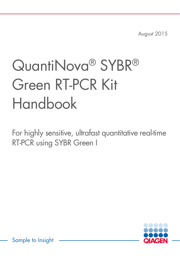August 2015

# QuantiNova® SYBR® Green RT-PCR Kit Handbook

For highly sensitive, ultrafast quantitative real-time RT-PCR using SYBR Green I



Sample to Insight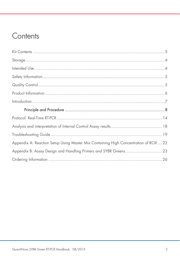### Contents

| Appendix A: Reaction Setup Using Master Mix Containing High Concentration of ROX 22 |  |
|-------------------------------------------------------------------------------------|--|
|                                                                                     |  |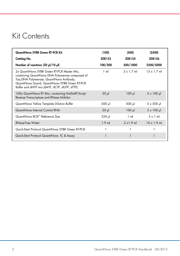## Kit Contents

| QuantiNova SYBR Green RT-PCR Kit                                                                                                                                                                                                               | (100)          | (500)             | (2500)             |
|------------------------------------------------------------------------------------------------------------------------------------------------------------------------------------------------------------------------------------------------|----------------|-------------------|--------------------|
| Catalog No.                                                                                                                                                                                                                                    | 208152         | 208154            | 208156             |
| Number of reactions (20 µl/10 µl)                                                                                                                                                                                                              | 100/200        | 500/1000          | 2500/5000          |
| 2x QuantiNova SYBR Green RT-PCR Master Mix,<br>containing QuantiNova DNA Polymerase composed of:<br>Tag DNA Polymerase, QuantiNova Antibody,<br>QuantiNova Guard, QuantiNova SYBR Green RT-PCR<br>Buffer and dNTP mix (dATP, dCTP, dGTP, dTTP) | $1 \text{ ml}$ | $3 \times 1.7$ ml | $15 \times 17$ ml  |
| 100x QuantiNova RT Mix, containing HotStaRT-Script<br>Reverse Transcriptase and RNase Inhibitor                                                                                                                                                | $20$ $\mu$     | $100$ pl          | $5 \times 100 \mu$ |
| QuantiNova Yellow Template Dilution Buffer                                                                                                                                                                                                     | 500 µl         | 500 µl            | $5 \times 500$ µ   |
| QuantiNova Internal Control RNA                                                                                                                                                                                                                | $20 \mu$       | $100$ pl          | $5 \times 100 \mu$ |
| QuantiNova ROX™ Reference Dye                                                                                                                                                                                                                  | $250$ $\mu$    | $1 \text{ ml}$    | $5 \times 1$ ml    |
| <b>RNase-Free Water</b>                                                                                                                                                                                                                        | $1.9$ ml       | $2 \times 1.9$ ml | $10 \times 1.9$ ml |
| Quick-Start Protocol QuantiNova SYBR Green RT-PCR                                                                                                                                                                                              |                |                   |                    |
| Quick-Start Protocol QuantiNova IC & Assay                                                                                                                                                                                                     |                |                   |                    |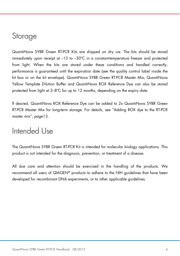### **Storage**

QuantiNova SYBR Green RT-PCR Kits are shipped on dry ice. The kits should be stored immediately upon receipt at –15 to –30ºC in a constant-temperature freezer and protected from light. When the kits are stored under these conditions and handled correctly, performance is guaranteed until the expiration date (see the quality control label inside the kit box or on the kit envelope). QuantiNova SYBR Green RT-PCR Master Mix, QuantiNova Yellow Template Dilution Buffer and QuantiNova ROX Reference Dye can also be stored protected from light at 2–8ºC for up to 12 months, depending on the expiry date.

If desired, QuantiNova ROX Reference Dye can be added to 2x QuantiNova SYBR Green RT-PCR Master Mix for long-term storage. For details, see "Adding ROX dye to the RT-PCR master mix", page13.

### Intended Use

The QuantiNova SYBR Green RT-PCR Kit is intended for molecular biology applications. This product is not intended for the diagnosis, prevention, or treatment of a disease.

All due care and attention should be exercised in the handling of the products. We recommend all users of QIAGEN® products to adhere to the NIH guidelines that have been developed for recombinant DNA experiments, or to other applicable guidelines.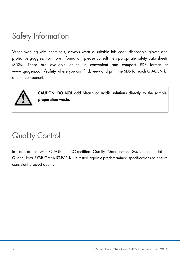# Safety Information

When working with chemicals, always wear a suitable lab coat, disposable gloves and protective goggles. For more information, please consult the appropriate safety data sheets (SDSs). These are available online in convenient and compact PDF format at www.qiagen.com/safety where you can find, view and print the SDS for each QIAGEN kit and kit component.



CAUTION: DO NOT add bleach or acidic solutions directly to the sample preparation waste.

# Quality Control

In accordance with QIAGEN's ISO-certified Quality Management System, each lot of QuantiNova SYBR Green RT-PCR Kit is tested against predetermined specifications to ensure consistent product quality.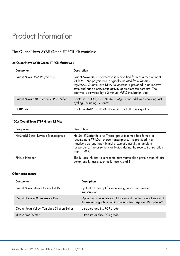# Product Information

The QuantiNova SYBR Green RT-PCR Kit contains:

|  | 2x QuantiNova SYBR Green RT-PCR Master Mix |  |  |  |  |  |
|--|--------------------------------------------|--|--|--|--|--|
|--|--------------------------------------------|--|--|--|--|--|

| Component                           | <b>Description</b>                                                                                                                                                                                                                                                                                                         |
|-------------------------------------|----------------------------------------------------------------------------------------------------------------------------------------------------------------------------------------------------------------------------------------------------------------------------------------------------------------------------|
| QuantiNova DNA Polymerase           | QuantiNova DNA Polymerase is a modified form of a recombinant<br>94 kDa DNA polymerase, originally isolated from Thermus<br>aquaticus. QuantiNova DNA Polymerase is provided in an inactive<br>state and has no enzymatic activity at ambient temperature. The<br>enzyme is activated by a 2 minute, 95°C incubation step. |
| QuantiNova SYBR Green RT-PCR Buffer | Contains Tris-HCl, KCl, NH <sub>4</sub> SO <sub>4</sub> , MgCl <sub>2</sub> and additives enabling fast<br>cycling, including Q-Bond®.                                                                                                                                                                                     |
| dNTP mix                            | Contains dATP, dCTP, dGTP and dTTP of ultrapure quality.                                                                                                                                                                                                                                                                   |

#### 100x QuantiNova SYBR Green RT Mix

| Component                              | <b>Description</b>                                                                                                                                                                                                                                                                                   |
|----------------------------------------|------------------------------------------------------------------------------------------------------------------------------------------------------------------------------------------------------------------------------------------------------------------------------------------------------|
| HotStarRT-Script Reverse Transcriptase | HotStarRT-Script Reverse Transcriptase is a modified form of a<br>recombinant 77 kDa reverse transcriptase. It is provided in an<br>inactive state and has minimal enzymatic activity at ambient<br>temperature. The enzyme is activated during the reverse-transcription<br>step at $50^{\circ}$ C. |
| <b>RNase Inhibitor</b>                 | The RNase inhibitor is a recombinant mammalian protein that inhibits<br>eukaryotic RNases, such as RNase A and B.                                                                                                                                                                                    |

#### Other components

| Component                                  | <b>Description</b>                                                                                                                  |
|--------------------------------------------|-------------------------------------------------------------------------------------------------------------------------------------|
| QuantiNova Internal Control RNA            | Synthetic transcript for monitoring successful reverse<br>transcription.                                                            |
| QuantiNova ROX Reference Dye               | Optimized concentration of fluorescent dye for normalization of<br>fluorescent signals on all instruments from Applied Biosystems®. |
| QuantiNova Yellow Template Dilution Buffer | Ultrapure quality, PCR-grade.                                                                                                       |
| RNase-Free Water                           | Ultrapure quality, PCR-grade.                                                                                                       |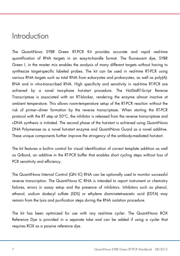### Introduction

The QuantiNova SYBR Green RT-PCR Kit provides accurate and rapid real-time quantification of RNA targets in an easy-to-handle format. The fluorescent dye, SYBR Green I, in the master mix enables the analysis of many different targets without having to synthesize target-specific labeled probes. The kit can be used in real-time RT-PCR using various RNA targets such as total RNA from eukaryotes and prokaryotes, as well as poly(A)- RNA and in vitro-transcribed RNA. High specificity and sensitivity in real-time RT-PCR are achieved by a novel two-phase hot-start procedure. The HotStaRT-Script Reverse Transcriptase is associated with an RT-blocker, rendering the enzyme almost inactive at ambient temperature. This allows room-temperature setup of the RT-PCR reaction without the risk of primer–dimer formation by the reverse transcriptase. When starting the RT-PCR protocol with the RT step at 50°C, the inhibitor is released from the reverse transcriptase and cDNA synthesis is initiated. The second phase of the hot-start is achieved using QuantiNova DNA Polymerase as a novel hot-start enzyme and QuantiNova Guard as a novel additive. These unique components further improve the stringency of the antibody-mediated hot-start.

The kit features a built-in control for visual identification of correct template addition as well as Q-Bond, an additive in the RT-PCR buffer that enables short cycling steps without loss of PCR sensitivity and efficiency.

The QuantiNova Internal Control (QN IC) RNA can be optionally used to monitor successful reverse transcription. The QuantiNova IC RNA is intended to report instrument or chemistry failures, errors in assay setup and the presence of inhibitors. Inhibitors such as phenol, ethanol, sodium dodecyl sulfate (SDS) or ethylene diaminetetraacetic acid (EDTA) may remain from the lysis and purification steps during the RNA isolation procedure.

The kit has been optimized for use with any real-time cycler. The QuantiNova ROX Reference Dye is provided in a separate tube and can be added if using a cycler that requires ROX as a passive reference dye.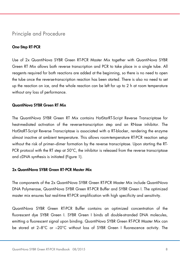### Principle and Procedure

### One-Step RT-PCR

Use of 2x QuantiNova SYBR Green RT-PCR Master Mix together with QuantiNova SYBR Green RT Mix allows both reverse transcription and PCR to take place in a single tube. All reagents required for both reactions are added at the beginning, so there is no need to open the tube once the reverse-transcription reaction has been started. There is also no need to set up the reaction on ice, and the whole reaction can be left for up to 2 h at room temperature without any loss of performance.

### QuantiNova SYBR Green RT Mix

The QuantiNova SYBR Green RT Mix contains HotStarRT-Script Reverse Transcriptase for heat-mediated activation of the reverse-transcription step and an RNase inhibitor. The HotStaRT-Script Reverse Transcriptase is associated with a RT-blocker, rendering the enzyme almost inactive at ambient temperature. This allows room-temperature RT-PCR reaction setup without the risk of primer–dimer formation by the reverse transcriptase. Upon starting the RT-PCR protocol with the RT step at 50°C, the inhibitor is released from the reverse transcriptase and cDNA synthesis is initiated (Figure 1).

#### 2x QuantiNova SYBR Green RT-PCR Master Mix

The components of the 2x QuantiNova SYBR Green RT-PCR Master Mix include QuantiNova DNA Polymerase, QuantiNova SYBR Green RT-PCR Buffer and SYBR Green I. The optimized master mix ensures fast real-time RT-PCR amplification with high specificity and sensitivity.

QuantiNova SYBR Green RT-PCR Buffer contains an optimized concentration of the fluorescent dye SYBR Green I. SYBR Green I binds all double-stranded DNA molecules, emitting a fluorescent signal upon binding. QuantiNova SYBR Green RT-PCR Master Mix can be stored at 2–8°C or –20°C without loss of SYBR Green I fluorescence activity. The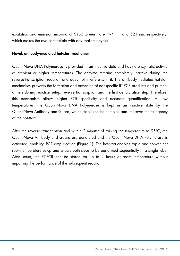excitation and emission maxima of SYBR Green I are 494 nm and 521 nm, respectively, which makes the dye compatible with any real-time cycler.

#### Novel, antibody-mediated hot-start mechanism

QuantiNova DNA Polymerase is provided in an inactive state and has no enzymatic activity at ambient or higher temperatures. The enzyme remains completely inactive during the reverse-transcription reaction and does not interfere with it. The antibody-mediated hot-start mechanism prevents the formation and extension of nonspecific RT-PCR products and primer– dimers during reaction setup, reverse transcription and the first denaturation step. Therefore, this mechanism allows higher PCR specificity and accurate quantification. At low temperatures, the QuantiNova DNA Polymerase is kept in an inactive state by the QuantiNova Antibody and Guard, which stabilizes the complex and improves the stringency of the hot-start.

After the reverse transcription and within 2 minutes of raising the temperature to 95°C, the QuantiNova Antibody and Guard are denatured and the QuantiNova DNA Polymerase is activated, enabling PCR amplification (Figure 1). The hot-start enables rapid and convenient room-temperature setup and allows both steps to be performed sequentially in a single tube. After setup, the RT-PCR can be stored for up to 2 hours at room temperature without impairing the performance of the subsequent reaction.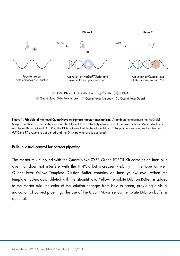

Figure 1. Principle of the novel QuantiNova two-phase hot-start mechanism. At ambient temperature the HotStaRT-Script is inhibited by the RT-Blocker and the QuantiNova DNA Polymerase is kept inactive by QuantiNova Antibody and QuantiNova Guard. At 50°C the RT is activated while the QuantiNova DNA polymerase remains inactive. At 95°C the RT enzyme is denatured and the DNA polymerase is activated.

#### Built-in visual control for correct pipetting

The master mix supplied with the QuantiNova SYBR Green RT-PCR Kit contains an inert blue dye that does not interfere with the RT-PCR but increases visibility in the tube or well. QuantiNova Yellow Template Dilution Buffer contains an inert yellow dye. When the template nucleic acid, diluted with the QuantiNova Yellow Template Dilution Buffer, is added to the master mix, the color of the solution changes from blue to green, providing a visual indication of correct pipetting. The use of the QuantiNova Yellow Template Dilution buffer is optional.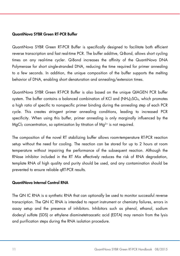### QuantiNova SYBR Green RT-PCR Buffer

QuantiNova SYBR Green RT-PCR Buffer is specifically designed to facilitate both efficient reverse transcription and fast real-time PCR. The buffer additive, Q-Bond, allows short cycling times on any real-time cycler. Q-Bond increases the affinity of the QuantiNova DNA Polymerase for short single-stranded DNA, reducing the time required for primer annealing to a few seconds. In addition, the unique composition of the buffer supports the melting behavior of DNA, enabling short denaturation and annealing/extension times.

QuantiNova SYBR Green RT-PCR Buffer is also based on the unique QIAGEN PCR buffer system. The buffer contains a balanced combination of KCI and  $(NH_4)_2SO_4$ , which promotes a high ratio of specific to nonspecific primer binding during the annealing step of each PCR cycle. This creates stringent primer annealing conditions, leading to increased PCR specificity. When using this buffer, primer annealing is only marginally influenced by the  $MgCl<sub>2</sub>$  concentration, so optimization by titration of  $Mg<sup>2+</sup>$  is not required.

The composition of the novel RT stabilizing buffer allows room-temperature RT-PCR reaction setup without the need for cooling. The reaction can be stored for up to 2 hours at room temperature without impairing the performance of the subsequent reaction. Although the RNase inhibitor included in the RT Mix effectively reduces the risk of RNA degradation, template RNA of high quality and purity should be used, and any contamination should be prevented to ensure reliable qRT-PCR results.

#### QuantiNova Internal Control RNA

The QN IC RNA is a synthetic RNA that can optionally be used to monitor successful reverse transcription. The QN IC RNA is intended to report instrument or chemistry failures, errors in assay setup and the presence of inhibitors. Inhibitors such as phenol, ethanol, sodium dodecyl sulfate (SDS) or ethylene diaminetetraacetic acid (EDTA) may remain from the lysis and purification steps during the RNA isolation procedure.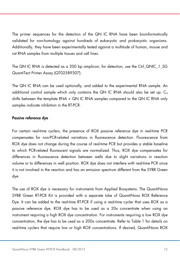The primer sequences for the detection of the QN IC RNA have been bioinformatically validated for non-homology against hundreds of eukaryotic and prokaryotic organisms. Additionally, they have been experimentally tested against a multitude of human, mouse and rat RNA samples from multiple tissues and cell lines.

The QN IC RNA is detected as a 200 bp amplicon; for detection, use the Ctrl QNIC\_1\_SG QuantiTect Primer Assay (QT02589307).

The QN IC RNA can be used optionally, and added to the experimental RNA sample. An additional control sample which only contains the QN IC RNA should also be set up.  $C_{q}$ shifts between the template RNA + QN IC RNA samples compared to the QN IC RNA only samples indicate inhibition in the RT-PCR.

### Passive reference dye

For certain real-time cyclers, the presence of ROX passive reference dye in real-time PCR compensates for non-PCR-related variations in fluorescence detection. Fluorescence from ROX dye does not change during the course of real-time PCR but provides a stable baseline to which PCR-related fluorescent signals are normalized. Thus, ROX dye compensates for differences in fluorescence detection between wells due to slight variations in reaction volume or to differences in well position. ROX dye does not interfere with real-time PCR since it is not involved in the reaction and has an emission spectrum different from the SYBR Green dye.

The use of ROX dye is necessary for instruments from Applied Biosystems. The QuantiNova SYBR Green RT-PCR Kit is provided with a separate tube of QuantiNova ROX Reference Dye. It can be added to the real-time RT-PCR if using a real-time cycler that uses ROX as a passive reference dye. ROX dye has to be used as a 20x concentrate when using an instrument requiring a high ROX dye concentration. For instruments requiring a low ROX dye concentration, the dye has to be used as a 200x concentrate. Refer to Table 1 for details on real-time cyclers that require low or high ROX concentrations. If desired, QuantiNova ROX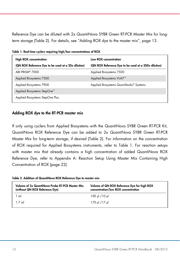Reference Dye can be diluted with 2x QuantiNova SYBR Green RT-PCR Master Mix for longterm storage (Table 2). For details, see "Adding ROX dye to the master mix", page 13.

| <b>High ROX concentration</b>                       | Low ROX concentration                                |  |
|-----------------------------------------------------|------------------------------------------------------|--|
| (QN ROX Reference Dye to be used at a 20x dilution) | (QN ROX Reference Dye to be used at a 200x dilution) |  |
| ABI PRISM <sup>®</sup> 7000                         | Applied Biosystems 7500                              |  |
| Applied Biosystems 7300                             | Applied Biosystems ViiA7 <sup>™</sup>                |  |
| Applied Biosystems 7900                             | Applied Biosystems QuantStudio <sup>®</sup> Systems  |  |
| Applied Biosystems StepOne™                         |                                                      |  |
| Applied Biosystems StepOne Plus                     |                                                      |  |

Table 1. Real-time cyclers requiring high/low concentrations of ROX

### Adding ROX dye to the RT-PCR master mix

If only using cyclers from Applied Biosystems with the QuantiNova SYBR Green RT-PCR Kit, QuantiNova ROX Reference Dye can be added to 2x QuantiNova SYBR Green RT-PCR Master Mix for long-term storage, if desired (Table 2). For information on the concentration of ROX required for Applied Biosystems instruments, refer to Table 1. For reaction setups with master mix that already contains a high concentration of added QuantiNova ROX Reference Dye, refer to Appendix A: Reaction Setup Using Master Mix Containing High Concentration of ROX (page 22).

Table 2. Addition of QuantiNova ROX Reference Dye to master mix

| Volume of 2x QuantiNova Probe RT-PCR Master Mix<br>(without QN ROX Reference Dye) | Volume of QN ROX Reference Dye for high ROX<br>concentration/low ROX concentration |
|-----------------------------------------------------------------------------------|------------------------------------------------------------------------------------|
| 1 ml                                                                              | ابر 100/ ابر 100                                                                   |
| 1 7 ml                                                                            | ار 177 ار 170                                                                      |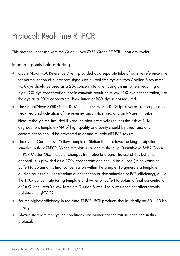## Protocol: Real-Time RT-PCR

This protocol is for use with the QuantiNova SYBR Green RT-PCR Kit on any cycler.

### Important points before starting

- QuantiNova ROX Reference Dye is provided as a separate tube of passive reference dye for normalization of fluorescent signals on all real-time cyclers from Applied Biosystems. ROX dye should be used as a 20x concentrate when using an instrument requiring a high ROX dye concentration. For instruments requiring a low ROX dye concentration, use the dye as a 200x concentrate. Pre-dilution of ROX dye is not required.
- The QuantiNova SYBR Green RT Mix contains HotStarRT-Script Reverse Transcriptase for heat-mediated activation of the reverse-transcription step and an RNase inhibitor. Note: Although the included RNase inhibitor effectively reduces the risk of RNA degradation, template RNA of high quality and purity should be used, and any contamination should be prevented to ensure reliable qRT-PCR results.
- The dye in QuantiNova Yellow Template Dilution Buffer allows tracking of pipetted samples in the qRT-PCR. When template is added to the blue QuantiNova SYBR Green RT-PCR Master Mix, the color changes from blue to green. The use of this buffer is optional. It is provided as a 100x concentrate and should be diluted (using water or buffer) to obtain a 1x final concentration within the sample. To generate a template dilution series (e.g., for absolute quantification or determination of PCR efficiency), dilute the 100x concentrate (using template and water or buffer) to obtain a final concentration of 1x QuantiNova Yellow Template Dilution Buffer. The buffer does not affect sample stability and qRT-PCR.
- For the highest efficiency in real-time RT-PCR, PCR products should ideally be 60–150 bp in length.
- Always start with the cycling conditions and primer concentrations specified in this protocol.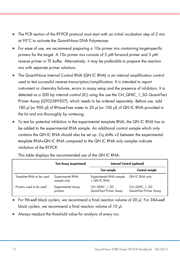- The PCR section of the RT-PCR protocol must start with an initial incubation step of 2 min at 95°C to activate the QuantiNova DNA Polymerase.
- For ease of use, we recommend preparing a 10x primer mix containing target-specific primers for the target. A 10x primer mix consists of 5 μM forward primer and 5 μM reverse primer in TE buffer. Alternatively, it may be preferable to prepare the reaction mix with separate primer solutions.
- The QuantiNova Internal Control RNA (QN IC RNA) is an internal amplification control used to test successful reverse transcription/amplification. It is intended to report instrument or chemistry failures, errors in assay setup and the presence of inhibitors. It is detected as a 200 bp internal control (IC) using the use the Ctrl QNIC\_1\_SG QuantiTect Primer Assay (QT02589307), which needs to be ordered separately. Before use, add 180 μl (or 900 μl) of RNase-Free water to 20 μl (or 100 μl) of QN IC RNA provided in the kit and mix thoroughly by vortexing.
- To test for potential inhibition in the experimental template RNA, the QN IC RNA has to be added to the experimental RNA sample. An additional control sample which only contains the QN IC RNA should also be set up. Cq shifts >2 between the experimental template RNA+QN IC RNA compared to the QN IC RNA only samples indicate inhibition of the RT-PCR.

|                          | <b>Test Assay (experiment)</b>  | Internal Control (optional)               |                                           |
|--------------------------|---------------------------------|-------------------------------------------|-------------------------------------------|
|                          |                                 | <b>Test sample</b>                        | Control sample                            |
| Template RNA to be used: | Experimental RNA<br>sample only | Experimental RNA sample<br>+ QN IC RNA    | QN IC RNA only                            |
| Primers used to be used: | Experimental Assay<br>primers   | Ctrl QNIC 1 SG<br>QuantiTect Primer Assay | Ctrl_QNIC_1_SG<br>QuantiTect Primer Assay |

This table displays the recommended use of the QN IC RNA:

 For 96-well block cyclers, we recommend a final reaction volume of 20 μl. For 384-well block cyclers, we recommend a final reaction volume of 10 μl.

Always readjust the threshold value for analysis of every run.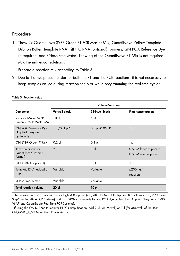### Procedure

1. Thaw 2x QuantiNova SYBR Green RT-PCR Master Mix, QuantiNova Yellow Template Dilution Buffer, template RNA, QN IC RNA (optional), primers, QN ROX Reference Dye (if required) and RNase-Free water. Thawing of the QuantiNova RT Mix is not required. Mix the individual solutions.

Prepare a reaction mix according to Table 3.

2. Due to the two-phase hot-start of both the RT and the PCR reactions, it is not necessary to keep samples on ice during reaction setup or while programming the real-time cycler.

|                                                                    |                                  | Volume/reaction   |                                                       |
|--------------------------------------------------------------------|----------------------------------|-------------------|-------------------------------------------------------|
| Component                                                          | 96-well block                    | 384-well block    | <b>Final concentration</b>                            |
| 2x QuantiNova SYBR<br>Green RT-PCR Master Mix                      | $10 \mu$                         | $5 \mu$           | 1x                                                    |
| <b>QN ROX Reference Dye</b><br>(Applied Biosystems<br>cycler only) | $1 \mu$ /0. $1 \mu$ <sup>*</sup> | $0.5$ µl/0.05 µl* | 1x                                                    |
| <b>QN SYBR Green RT-Mix</b>                                        | $0.2$ pl                         | $0.1$ pl          | 1x                                                    |
| 10x primer mix (or<br>QuantiTect IC Primer<br>Assay <sup>†</sup>   | $2 \mu$                          | $1 \mu$           | 0.5 µM forward primer<br>$0.5$ $\mu$ M reverse primer |
| QN IC RNA (optional)                                               | 1 µl                             | $1 \mu$           | 1x                                                    |
| Template RNA (added at<br>step $4$                                 | Variable                         | Variable          | $\leq$ 200 ng/<br>reaction                            |
| RNase-Free Water                                                   | Variable                         | Variable          |                                                       |
| <b>Total reaction volume</b>                                       | $20 \mu$                         | $10 \mu$          |                                                       |

#### Table 3. Reaction setup

\* To be used as a 20x concentrate for high ROX cyclers (i.e., ABI PRISM 7000, Applied Biosystems 7300, 7900, and StepOne Real-Time PCR Systems) and as a 200x concentrate for low ROX dye cyclers (i.e., Applied Biosystems 7500, ViiA7 and QuantStudio Real-Time PCR Systems).

† If using the QN IC RNA to monitor RT-PCR amplification, add 2 μl (for 96-well) or 1μl (for 384-well) of the 10x Ctrl\_QNIC\_1\_SG QuantiTect Primer Assay.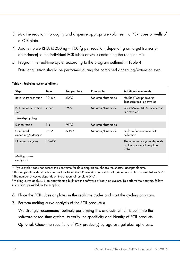- 3. Mix the reaction thoroughly and dispense appropriate volumes into PCR tubes or wells of a PCR plate.
- 4. Add template RNA (≤200 ng 100 fg per reaction, depending on target transcript abundance) to the individual PCR tubes or wells containing the reaction mix.
- 5. Program the real-time cycler according to the program outlined in Table 4. Data acquisition should be performed during the combined annealing/extension step.

| Step                                   | Time                | <b>Temperature</b>          | Ramp rate         | <b>Additional comments</b>                                              |
|----------------------------------------|---------------------|-----------------------------|-------------------|-------------------------------------------------------------------------|
| Reverse transcription                  | 10 min              | $50^{\circ}$ C              | Maximal/fast mode | HotStaRT-Script Reverse<br>Transcriptase is activated                   |
| PCR initial activation<br>step         | 2 min               | $95^{\circ}$ C              | Maximal/fast mode | QuantiNova DNA Polymerase<br>is activated                               |
| Two-step cycling                       |                     |                             |                   |                                                                         |
| Denaturation                           | 5 <sub>s</sub>      | $95^{\circ}$ C              | Maximal/fast mode |                                                                         |
| Combined<br>annealing/extension        | $10s*$              | $60^{\circ}$ C <sup>t</sup> | Maximal/fast mode | Perform fluorescence data<br>collection                                 |
| Number of cycles                       | $35 - 40^{\dagger}$ |                             |                   | The number of cycles depends<br>on the amount of template<br><b>RNA</b> |
| Melting curve<br>analysis <sup>§</sup> |                     |                             |                   |                                                                         |

#### Table 4. Real-time cycler conditions

\* If your cycler does not accept this short time for data acquisition, choose the shortest acceptable time.

 $^\dagger$ This temperature should also be used for QuantiTect Primer Assays and for all primer sets with a T $_{\rm m}$  well below 60°C. ‡ The number of cycles depends on the amount of template DNA.

§ Melting curve analysis is an analysis step built into the software of real-time cyclers. To perform the analysis, follow instructions provided by the supplier.

- 6. Place the PCR tubes or plates in the real-time cycler and start the cycling program.
- 7. Perform melting curve analysis of the PCR product(s).

We strongly recommend routinely performing this analysis, which is built into the software of real-time cyclers, to verify the specificity and identity of PCR products.

**Optional:** Check the specificity of PCR product(s) by agarose gel electrophoresis.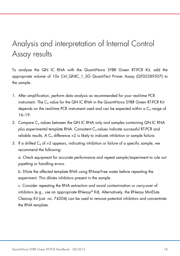# Analysis and interpretation of Internal Control Assay results

To analyze the QN IC RNA with the QuantiNova SYBR Green RT-PCR Kit, add the appropriate volume of 10x Ctrl\_QNIC\_1\_SG QuantiTect Primer Assay (QT02589307) to the sample.

- 1. After amplification, perform data analysis as recommended for your real-time PCR instrument. The C<sub>a</sub> value for the QN IC RNA in the QuantiNova SYBR Green RT-PCR Kit depends on the real-time PCR instrument used and can be expected within a  $C_q$  range of 16–19.
- 2. Compare C<sub>q</sub> values between the QN IC RNA only and samples containing QN IC RNA plus experimental template RNA. Consistent Cq values indicate successful RT-PCR and reliable results. A  $C_q$  difference  $>2$  is likely to indicate inhibition or sample failure.
- 3. If a shifted  $C_q$  of >2 appears, indicating inhibition or failure of a specific sample, we recommend the following:

a. Check equipment for accurate performance and repeat sample/experiment to rule out pipetting or handling errors.

b. Dilute the affected template RNA using RNase-Free water before repeating the experiment. This dilutes inhibitors present in the sample.

c. Consider repeating the RNA extraction and avoid contamination or carry-over of inhibitors (e.g., use an appropriate RNeasy® Kit). Alternatively, the RNeasy MinElute Cleanup Kit (cat. no. 74204) can be used to remove potential inhibitors and concentrate the RNA template.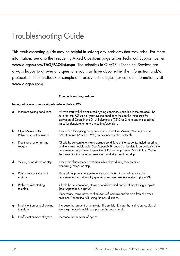# Troubleshooting Guide

This troubleshooting guide may be helpful in solving any problems that may arise. For more information, see also the Frequently Asked Questions page at our Technical Support Center: www.qiagen.com/FAQ/FAQList.aspx. The scientists in QIAGEN Technical Services are always happy to answer any questions you may have about either the information and/or protocols in this handbook or sample and assay technologies (for contact information, visit www.qiagen.com).

|    | No signal or one or more signals detected late in PCR |                                                                                                                                                                                                                                                                                                                              |  |  |  |
|----|-------------------------------------------------------|------------------------------------------------------------------------------------------------------------------------------------------------------------------------------------------------------------------------------------------------------------------------------------------------------------------------------|--|--|--|
| a) | Incorrect cycling conditions                          | Always start with the optimized cycling conditions specified in the protocols. Be<br>sure that the PCR step of your cycling conditions include the initial step for<br>activation of QuantiNova DNA Polymerase (95°C for 2 min) and the specified<br>times for denaturation and annealing/extension.                         |  |  |  |
| bl | QuantiNova DNA<br>Polymerase not activated            | Ensure that the cycling program includes the QuantiNova DNA Polymerase<br>activation step (2 min at 95°C) as described in the protocols.                                                                                                                                                                                     |  |  |  |
| c) | Pipetting error or missing<br>reagent                 | Check the concentrations and storage conditions of the reagents, including primers<br>and template nucleic acid. See Appendix B, page 23, for details on evaluating the<br>concentration of primers. Repeat the PCR. Use the provided QuantiNova Yellow<br>Template Dilution Buffer to prevent errors during reaction setup. |  |  |  |
| d) | Wrong or no detection step                            | Ensure that fluorescence detection takes place during the combined<br>annealing/extension step.                                                                                                                                                                                                                              |  |  |  |
| e) | Primer concentration not<br>optimal                   | Use optimal primer concentrations (each primer at $0.5 \mu M$ ). Check the<br>concentrations of primers by spectrophotometry (see Appendix B, page 23).                                                                                                                                                                      |  |  |  |
| f) | Problems with starting<br>template                    | Check the concentration, storage conditions and quality of the starting template<br>(see Appendix B, page 23).                                                                                                                                                                                                               |  |  |  |
|    |                                                       | If necessary, make new serial dilutions of template nucleic acid from the stock<br>solutions. Repeat the PCR using the new dilutions.                                                                                                                                                                                        |  |  |  |
| g) | Insufficient amount of starting<br>template           | Increase the amount of template, if possible. Ensure that sufficient copies of<br>the target nucleic acids are present in your sample.                                                                                                                                                                                       |  |  |  |
| h) | Insufficient number of cycles                         | Increase the number of cycles.                                                                                                                                                                                                                                                                                               |  |  |  |

#### Comments and suggestions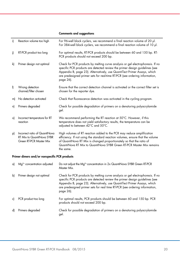#### i) Reaction volume too high For 96-well block cyclers, we recommend a final reaction volume of 20 μl. For 384-well block cyclers, we recommend a final reaction volume of 10 μl. j) RT-PCR product too long For optimal results, RT-PCR products should be between 60 and 150 bp. RT-PCR products should not exceed 200 bp. k) Primer design not optimal Check for PCR products by melting curve analysis or gel electrophoresis. If no specific PCR products are detected review the primer design guidelines (see Appendix B, page 23). Alternatively, use QuantiTect Primer Assays, which are predesigned primer sets for real-time RT-PCR (see ordering information, page 26). l) Wrong detection channel/filter chosen Ensure that the correct detection channel is activated or the correct filter set is chosen for the reporter dye. m) No detection activated Check that fluorescence detection was activated in the cycling program. n) Primers degraded Check for possible degradation of primers on a denaturing polyacrylamide gel. o) Incorrect temperature for RT reaction We recommend performing the RT reaction at 50°C. However, if this temperature does not yield satisfactory results, the temperature can be adjusted to between 42°C and 50°C. p) Incorrect ratio of QuantiNova RT Mix to QuantiNova SYBR Green RT-PCR Master Mix High volumes of RT reaction added to the PCR may reduce amplification efficiency. If not using the standard reaction volumes, ensure that the volume of QuantiNova RT Mix is changed proportionately so that the ratio of QuantiNova RT Mix to QuantiNova SYBR Green RT-PCR Master Mix remains the same.

#### Comments and suggestions

#### Primer dimers and/or nonspecific PCR products

| a) | $Mq^{2+}$ concentration adjusted | Do not adjust the Ma <sup>2+</sup> concentration in 2x QuantiNova SYBR Green RT-PCR<br>Master Mix.                                                                                                                                                                                                                                    |
|----|----------------------------------|---------------------------------------------------------------------------------------------------------------------------------------------------------------------------------------------------------------------------------------------------------------------------------------------------------------------------------------|
| bl | Primer design not optimal        | Check for PCR products by melting curve analysis or gel electrophoresis. If no<br>specific PCR products are detected review the primer design guidelines (see<br>Appendix B, page 23). Alternatively, use QuantiTect Primer Assays, which<br>are predesigned primer sets for real time RT-PCR (see ordering information,<br>page 26). |
|    | PCR product too long             | For optimal results, PCR products should be between 60 and 150 bp. PCR<br>products should not exceed 200 bp.                                                                                                                                                                                                                          |
| d) | Primers degraded                 | Check for possible degradation of primers on a denaturing polyacrylamide<br>gel.                                                                                                                                                                                                                                                      |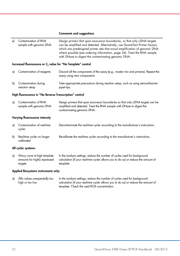#### Comments and suggestions

| e)                  | Contamination of RNA<br>sample with genomic DNA                          | Design primers that span exon-exon boundaries, so that only cDNA targets<br>can be amplified and detected. Alternatively, use QuantiTect Primer Assays,<br>which are predesigned primer sets that avoid amplification of genomic DNA<br>where possible (see ordering information, page 26). Treat the RNA sample<br>with DNase to digest the contaminating genomic DNA. |  |  |
|---------------------|--------------------------------------------------------------------------|-------------------------------------------------------------------------------------------------------------------------------------------------------------------------------------------------------------------------------------------------------------------------------------------------------------------------------------------------------------------------|--|--|
|                     | Increased fluorescence or C <sub>q</sub> value for "No Template" control |                                                                                                                                                                                                                                                                                                                                                                         |  |  |
| a)                  | Contamination of reagents                                                | Discard all the components of the assay (e.g., master mix and primers). Repeat the<br>assay using new components.                                                                                                                                                                                                                                                       |  |  |
| b)                  | Contamination during<br>reaction setup                                   | Take appropriate precautions during reaction setup, such as using aerosol-barrier<br>pipet tips.                                                                                                                                                                                                                                                                        |  |  |
|                     | High fluorescence in "No Reverse Transcription" control                  |                                                                                                                                                                                                                                                                                                                                                                         |  |  |
| a)                  | Contamination of RNA<br>sample with genomic DNA                          | Design primers that span exon-exon boundaries so that only cDNA targets can be<br>amplified and detected. Treat the RNA sample with DNase to digest the<br>contaminating genomic DNA.                                                                                                                                                                                   |  |  |
|                     | Varying fluorescence intensity                                           |                                                                                                                                                                                                                                                                                                                                                                         |  |  |
| a)                  | Contamination of real-time<br>cycler                                     | Decontaminate the real-time cycler according to the manufacturer's instructions.                                                                                                                                                                                                                                                                                        |  |  |
| b)                  | Real-time cycler no longer<br>calibrated                                 | Recalibrate the real-time cycler according to the manufacturer's instructions.                                                                                                                                                                                                                                                                                          |  |  |
| All cycler systems: |                                                                          |                                                                                                                                                                                                                                                                                                                                                                         |  |  |
| a)                  | Wavy curve at high template<br>amounts for highly expressed<br>targets   | In the analysis settings, reduce the number of cycles used for background<br>calculation (if your real-time cycler allows you to do so) or reduce the amount of<br>template.                                                                                                                                                                                            |  |  |

#### Applied Biosystems instruments only:

|                 | a) ARn values unexpectedly too In the analysis settings, reduce the number of cycles used for background |
|-----------------|----------------------------------------------------------------------------------------------------------|
| high or too low | calculation (if your real-time cycler allows you to do so) or reduce the amount of                       |
|                 | template. Check the used ROX concentration.                                                              |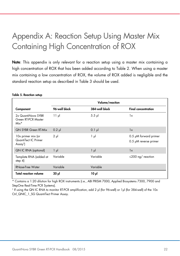# Appendix A: Reaction Setup Using Master Mix Containing High Concentration of ROX

Note: This appendix is only relevant for a reaction setup using a master mix containing a high concentration of ROX that has been added according to Table 2. When using a master mix containing a low concentration of ROX, the volume of ROX added is negligible and the standard reaction setup as described in Table 3 should be used.

|                                                                    | Volume/reaction |                |                                                |  |
|--------------------------------------------------------------------|-----------------|----------------|------------------------------------------------|--|
| Component                                                          | 96-well block   | 384-well block | <b>Final concentration</b>                     |  |
| 2x QuantiNova SYBR<br>Green RT-PCR Master<br>$Mix*$                | $11 \text{ pl}$ | $5.5$ pl       | 1x                                             |  |
| <b>QN SYBR Green RT-Mix</b>                                        | $0.2$ pl        | $0.1$ $\mu$    | 1x                                             |  |
| 10x primer mix (or<br>QuantiTect IC Primer<br>Assay <sup>t</sup> ) | $2 \mu$         | 1 μl           | 0.5 µM forward primer<br>0.5 µM reverse primer |  |
| <b>QN IC RNA (optional)</b>                                        | $1 \mu$         | $1 \mu$        | 1x                                             |  |
| Template RNA (added at<br>step $4$                                 | Variable        | Variable       | $\leq$ 200 ng/ reaction                        |  |
| <b>RNase-Free Water</b>                                            | Variable        | Variable       |                                                |  |
| <b>Total reaction volume</b>                                       | 20 µl           | $10 \mu$       |                                                |  |

#### Table 5. Reaction setup

\* Contains a 1:20 dilution for high ROX instruments (i.e., ABI PRISM 7000, Applied Biosystems 7300, 7900 and StepOne Real-Time PCR Systems).

† If using the QN IC RNA to monitor RT-PCR amplification, add 2 μl (for 96-well) or 1μl (for 384-well) of the 10x Ctrl\_QNIC\_1\_SG QuantiTect Primer Assay.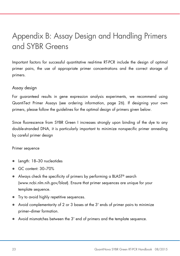# Appendix B: Assay Design and Handling Primers and SYBR Greens

Important factors for successful quantitative real-time RT-PCR include the design of optimal primer pairs, the use of appropriate primer concentrations and the correct storage of primers.

### Assay design

For guaranteed results in gene expression analysis experiments, we recommend using QuantiTect Primer Assays (see ordering information, page 26). If designing your own primers, please follow the guidelines for the optimal design of primers given below.

Since fluorescence from SYBR Green I increases strongly upon binding of the dye to any double-stranded DNA, it is particularly important to minimize nonspecific primer annealing by careful primer design

#### Primer sequence

- Length: 18–30 nucleotides
- GC content: 30-70%
- Always check the specificity of primers by performing a BLAST<sup>®</sup> search (www.ncbi.nlm.nih.gov/blast). Ensure that primer sequences are unique for your template sequence.
- Try to avoid highly repetitive sequences.
- Avoid complementarity of 2 or 3 bases at the 3' ends of primer pairs to minimize primer–dimer formation.
- Avoid mismatches between the 3' end of primers and the template sequence.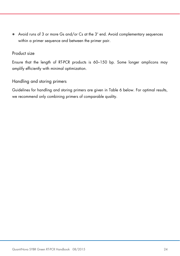Avoid runs of 3 or more Gs and/or Cs at the 3' end. Avoid complementary sequences within a primer sequence and between the primer pair.

### Product size

Ensure that the length of RT-PCR products is 60–150 bp. Some longer amplicons may amplify efficiently with minimal optimization.

### Handling and storing primers

Guidelines for handling and storing primers are given in Table 6 below. For optimal results, we recommend only combining primers of comparable quality.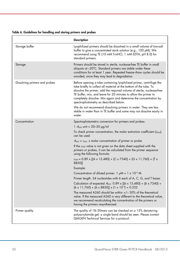| Table 6. Guidelines for handling and storing primers and probes |  |  |  |  |
|-----------------------------------------------------------------|--|--|--|--|
|-----------------------------------------------------------------|--|--|--|--|

|                               | <b>Description</b>                                                                                                                                                                                                                                                                                                                                                                                   |
|-------------------------------|------------------------------------------------------------------------------------------------------------------------------------------------------------------------------------------------------------------------------------------------------------------------------------------------------------------------------------------------------------------------------------------------------|
| Storage buffer                | Lyophilized primers should be dissolved in a small volume of low-salt<br>buffer to give a concentrated stock solution (e.g., 100 µM). We<br>recommend using TE (10 mM TrisHCl, 1 mM EDTA, pH 8.0) for<br>standard primers.                                                                                                                                                                           |
| Storage                       | Primers should be stored in sterile, nuclease-free TE buffer in small<br>aliquots at $-20^{\circ}$ C. Standard primers are stable under these<br>conditions for at least 1 year. Repeated freeze-thaw cycles should be<br>avoided, since they may lead to degradation.                                                                                                                               |
| Dissolving primers and probes | Before opening a tube containing lyophilized primer, centrifuge the<br>tube briefly to collect all material at the bottom of the tube. To<br>dissolve the primer, add the required volume of sterile, nuclease-free<br>TE buffer, mix, and leave for 20 minutes to allow the primer to<br>completely dissolve. Mix again and determine the concentration by<br>spectrophotometry as described below. |
|                               | We do not recommend dissolving primers in water. They are less<br>stable in water than in TE buffer and some may not dissolve easily in<br>water.                                                                                                                                                                                                                                                    |
| Concentration                 | Spectrophotometric conversion for primers and probes:                                                                                                                                                                                                                                                                                                                                                |
|                               | 1 $A_{260}$ unit = 20-30 $\mu$ g/ml                                                                                                                                                                                                                                                                                                                                                                  |
|                               | To check primer concentration, the molar extinction coefficient ( $\varepsilon_{260}$ )<br>can be used:                                                                                                                                                                                                                                                                                              |
|                               | $A_{260} = \varepsilon_{260}$ x molar concentration of primer or probe                                                                                                                                                                                                                                                                                                                               |
|                               | If the $\varepsilon_{260}$ value is not given on the data sheet supplied with the<br>primers or probes, it can be calculated from the primer sequence<br>using the following formula:                                                                                                                                                                                                                |
|                               | $\varepsilon_{260}$ = 0.89 x [(A x 15,480) + (C x 7340) + (G x 11,760) + (T x<br>8850)]                                                                                                                                                                                                                                                                                                              |
|                               | Example:                                                                                                                                                                                                                                                                                                                                                                                             |
|                               | Concentration of diluted primer: $1 \mu M = 1 \times 10^{-6} M$                                                                                                                                                                                                                                                                                                                                      |
|                               | Primer length: 24 nucleotides with 6 each of A, C, G, and T bases                                                                                                                                                                                                                                                                                                                                    |
|                               | Calculation of expected $A_{260}$ : 0.89 x [(6 x 15,480) + (6 x 7340) +<br>$(6 \times 11,760) + (6 \times 8850)] \times (1 \times 10^{-6}) = 0.232$                                                                                                                                                                                                                                                  |
|                               | The measured A260 should be within $+/- 30\%$ of the theoretical<br>value. If the measured A260 is very different to the theoretical value,<br>we recommend recalculating the concentration of the primers or<br>having the primers resynthesized.                                                                                                                                                   |
| Primer quality                | The quality of 18-30 mers can be checked on a 15% denaturing<br>polyacrylamide gel; a single band should be seen. Please contact<br>QIAGEN Technical Services for a protocol.                                                                                                                                                                                                                        |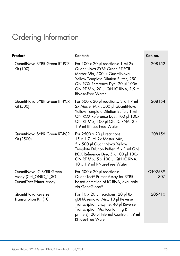# Ordering Information

| Product                                                                       | <b>Contents</b>                                                                                                                                                                                                                                                   | Cat. no.       |
|-------------------------------------------------------------------------------|-------------------------------------------------------------------------------------------------------------------------------------------------------------------------------------------------------------------------------------------------------------------|----------------|
| QuantiNova SYBR Green RT-PCR<br>Kit (100)                                     | For $100 \times 20$ µ reactions: 1 ml 2x<br>QuantiNova SYBR Green RT-PCR<br>Master Mix, 500 µl QuantiNova<br>Yellow Template Dilution Buffer, 250 µl<br>QN ROX Reference Dye, 20 µl 100x<br>QN RT Mix, 20 µl QN IC RNA, 1.9 ml<br><b>RNase-Free Water</b>         | 208152         |
| QuantiNova SYBR Green RT-PCR<br>Kit (500)                                     | For 500 $\times$ 20 µl reactions: $3 \times 1.7$ ml<br>2x Master Mix, 500 µl QuantiNova<br>Yellow Template Dilution Buffer, 1 ml<br>QN ROX Reference Dye, 100 µl 100x<br>QN RT Mix, 100 $\mu$ l QN IC RNA, 2 x<br>1.9 ml RNase-Free Water                         | 208154         |
| QuantiNova SYBR Green RT-PCR<br>Kit (2500)                                    | For $2500 \times 20$ µl reactions:<br>$15 \times 1.7$ ml 2x Master Mix,<br>5 x 500 µl QuantiNova Yellow<br>Template Dilution Buffer, 5 x 1 ml QN<br>ROX Reference Dye, 5 x 100 µl 100x<br>QN RT Mix, $5 \times 100$ µl QN IC RNA,<br>10 x 1.9 ml RNase-Free Water | 208156         |
| QuantiNova IC SYBR Green<br>Assay (Ctrl_QNIC_1_SG<br>QuantiTect Primer Assay) | For $500 \times 20$ µ reactions:<br>QuantiTect® Primer Assay for SYBR<br>based detection of IC RNA, available<br>via GeneGlobe®                                                                                                                                   | QT02589<br>307 |
| QuantiNova Reverse<br>Transcription Kit (10)                                  | For $10 \times 20$ µl reactions: 20 µl 8x<br>gDNA removal Mix, 10 µl Reverse<br>Transcription Enzyme, 40 µl Reverse<br>Transcription Mix (containing RT<br>primers), 20 µl Internal Control, 1.9 ml<br><b>RNase-Free Water</b>                                    | 205410         |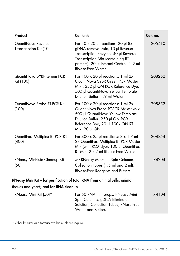| Product                                                                   | <b>Contents</b>                                                                                                                                                                                                                  | Cat. no. |
|---------------------------------------------------------------------------|----------------------------------------------------------------------------------------------------------------------------------------------------------------------------------------------------------------------------------|----------|
| QuantiNova Reverse<br>Transcription Kit (10)                              | For $10 \times 20$ µl reactions: $20$ µl 8x<br>gDNA removal Mix, 10 µl Reverse<br>Transcription Enzyme, 40 µl Reverse<br>Transcription Mix (containing RT<br>primers), 20 µl Internal Control, 1.9 ml<br><b>RNase-Free Water</b> | 205410   |
| QuantiNova SYBR Green PCR<br>Kit (100)                                    | For $100 \times 20$ µ reactions: 1 ml 2x<br>QuantiNova SYBR Green PCR Master<br>Mix, 250 µl QN ROX Reference Dye,<br>500 µl QuantiNova Yellow Template<br>Dilution Buffer, 1.9 ml Water                                          | 208252   |
| QuantiNova Probe RT-PCR Kit<br>(100)                                      | For $100 \times 20$ pl reactions: 1 ml $2x$<br>QuantiNova Probe RT-PCR Master Mix,<br>500 µl QuantiNova Yellow Template<br>Dilution Buffer, 250 µl QN ROX<br>Reference Dye, 20 µl 100x QN RT<br>Mix, 20 µl QN                    | 208352   |
| QuantiFast Multiplex RT-PCR Kit<br>(400)                                  | For 400 $\times$ 25 µl reactions: $3 \times 1.7$ ml<br>2x QuantiFast Multiplex RT-PCR Master<br>Mix (with ROX dye), 100 µl QuantiFast<br>RT Mix, 2 x 2 ml RNase-Free Water                                                       | 204854   |
| RNeasy MinElute Cleanup Kit<br>(50)                                       | 50 RNeasy MinElute Spin Columns,<br>Collection Tubes (1.5 ml and 2 ml),<br><b>RNase-Free Reagents and Buffers</b>                                                                                                                | 74204    |
| RNeasy Mini Kit – for purification of total RNA from animal cells, animal |                                                                                                                                                                                                                                  |          |
| tissues and yeast, and for RNA cleanup                                    |                                                                                                                                                                                                                                  |          |
| RNeasy Mini Kit (50)*                                                     | For 50 RNA minipreps: RNeasy Mini<br>Spin Columns, gDNA Eliminator<br>Solution, Collection Tubes, RNase-Free                                                                                                                     | 74104    |

Water and Buffers

\* Other kit sizes and formats available; please inquire.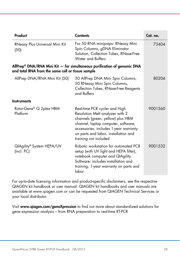| Product                                           | <b>Contents</b>                                                                                                                                                                                                                                        | Cat. no. |
|---------------------------------------------------|--------------------------------------------------------------------------------------------------------------------------------------------------------------------------------------------------------------------------------------------------------|----------|
| RNeasy Plus Universal Mini Kit<br>(50)            | For 50 RNA minipreps: RNeasy Mini<br>Spin Columns, gDNA Eliminator<br>Solution, Collection Tubes, RNase-Free<br>Water and Buffers                                                                                                                      | 73404    |
| and total RNA from the same cell or tissue sample | AllPrep <sup>®</sup> DNA/RNA Mini Kit $-$ for simultaneous purification of genomic DNA                                                                                                                                                                 |          |
| AllPrep DNA/RNA Mini Kit (50)                     | 50 AllPrep DNA Mini Spin Columns,<br>50 RNeasy Mini Spin Columns,<br>Collection Tubes, RNase-Free Reagents<br>and Buffers                                                                                                                              | 80204    |
| <b>Instruments</b>                                |                                                                                                                                                                                                                                                        |          |
| Rotor-Gene® Q 2plex HRM<br>Platform               | Real-time PCR cycler and High<br>Resolution Melt analyzer with 2<br>channels (green, yellow) plus HRM<br>channel, laptop computer, software,<br>accessories: includes 1-year warranty<br>on parts and labor, installation and<br>training not included | 9001560  |
| QIAgility® System HEPA/UV<br>(incl. PC)           | Robotic workstation for automated PCR<br>setup (with UV light and HEPA filter),<br>notebook computer and QIAgility<br>Software: includes installation and<br>training, 1-year warranty on parts and<br>labor                                           | 9001532  |

For up-to-date licensing information and product-specific disclaimers, see the respective QIAGEN kit handbook or user manual. QIAGEN kit handbooks and user manuals are available at www.qiagen.com or can be requested from QIAGEN Technical Services or your local distributor.

Visit www.qiagen.com/geneXpression to find out more about standardized solutions for gene expression analysis – from RNA preparation to real-time RT-PCR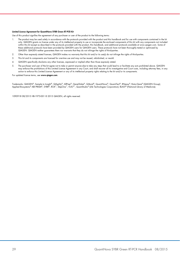#### Limited License Agreement for QuantiNova SYBR Green RT-PCR Kit

Use of this product signifies the agreement of any purchaser or user of the product to the following terms:

- 1. The product may be used solely in accordance with the protocols provided with the product and this handbook and for use with components contained in the kit only. QIAGEN grants no license under any of its intellectual property to use or incorporate the enclosed components of this kit with any components not included within this kit except as described in the protocols provided with the product, this handbook, and additional protocols available at www.qiagen.com. Some of these additional protocols have been provided by QIAGEN users for QIAGEN users. These protocols have not been thoroughly tested or optimized by QIAGEN. QIAGEN neither guarantees them nor warrants that they do not infringe the rights of third-parties.
- 2. Other than expressly stated licenses, QIAGEN makes no warranty that this kit and/or its use(s) do not infringe the rights of third-parties.
- 3. This kit and its components are licensed for one-time use and may not be reused, refurbished, or resold.
- 4. QIAGEN specifically disclaims any other licenses, expressed or implied other than those expressly stated.
- 5. The purchaser and user of the kit agree not to take or permit anyone else to take any steps that could lead to or facilitate any acts prohibited above. QIAGEN may enforce the prohibitions of this Limited License Agreement in any Court, and shall recover all its investigative and Court costs, including attorney fees, in any action to enforce this Limited License Agreement or any of its intellectual property rights relating to the kit and/or its components.

For updated license terms, see www.qiagen.com.

Trademarks: QIAGEN®, Sample to Insight®, QIAgility®, AllPrep®, GeneGlobe®, Q-Bond®, QuantiNova®, QuantiTect®, RNeasy®, Rotor-Gene® (QIAGEN Group); Applied Biosystems® ABI PRISM®, SYBR®, ROX™, StepOne™, ViiA7™, QuantStudio® (Life Technologies Corporation); BLAST® (National Library of Medicine).

1090918 08/2015 HB-1973-001 © 2015 QIAGEN, all rights reserved.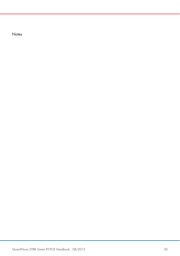**Notes**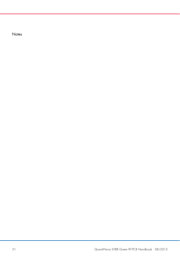**Notes**